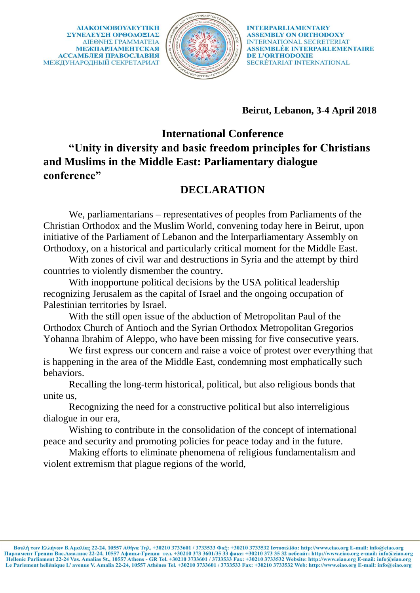ΔΙΑΚΟΙΝΟΒΟΥΛΕΥΤΙΚΗ ΣΥΝΕΛΕΥΣΗ ΟΡΘΟΛΟΞΙΑΣ ΔΙΕΘΝΗΣ ΓΡΑΜΜΑΤΕΙΑ **МЕЖПАРЛАМЕНТСКАЯ АССАМБЛЕЯ ПРАВОСЛАВИЯ** МЕЖДУНАРОДНЫЙ СЕКРЕТАРИАТ



**INTERPARLIAMENTARY ASSEMBLY ON ORTHODOXY INTERNATIONAL SECRETERIAT** ASSEMBLÉE INTERPARLEMENTAIRE **DE L'ORTHODOXIE** SECRÉTARIAT INTERNATIONAL

**Beirut, Lebanon, 3-4 April 2018**

## **International Conference**

**"Unity in diversity and basic freedom principles for Christians and Muslims in the Middle East: Parliamentary dialogue conference"** 

## **DECLARATION**

We, parliamentarians – representatives of peoples from Parliaments of the Christian Orthodox and the Muslim World, convening today here in Beirut, upon initiative of the Parliament of Lebanon and the Interparliamentary Assembly on Orthodoxy, on a historical and particularly critical moment for the Middle East.

With zones of civil war and destructions in Syria and the attempt by third countries to violently dismember the country.

With inopportune political decisions by the USA political leadership recognizing Jerusalem as the capital of Israel and the ongoing occupation of Palestinian territories by Israel.

With the still open issue of the abduction of Metropolitan Paul of the Orthodox Church of Antioch and the Syrian Orthodox Metropolitan Gregorios Yohanna Ibrahim of Aleppo, who have been missing for five consecutive years.

We first express our concern and raise a voice of protest over everything that is happening in the area of the Middle East, condemning most emphatically such behaviors.

Recalling the long-term historical, political, but also religious bonds that unite us,

Recognizing the need for a constructive political but also interreligious dialogue in our era,

Wishing to contribute in the consolidation of the concept of international peace and security and promoting policies for peace today and in the future.

Making efforts to eliminate phenomena of religious fundamentalism and violent extremism that plague regions of the world,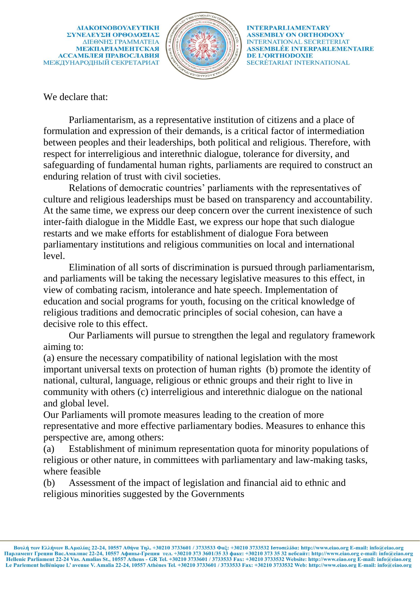ΔΙΑΚΟΙΝΟΒΟΥΛΕΥΤΙΚΗ ΣΥΝΕΛΕΥΣΗ ΟΡΘΟΛΟΞΙΑΣ ΔΙΕΘΝΗΣ ΓΡΑΜΜΑΤΕΙΑ **МЕЖПАРЛАМЕНТСКАЯ АССАМБЛЕЯ ПРАВОСЛАВИЯ** МЕЖДУНАРОДНЫЙ СЕКРЕТАРИАТ



**INTERPARLIAMENTARY ASSEMBLY ON ORTHODOXY INTERNATIONAL SECRETERIAT** ASSEMBLÉE INTERPARLEMENTAIRE **DE L'ORTHODOXIE** SECRÉTARIAT INTERNATIONAL

We declare that:

Parliamentarism, as a representative institution of citizens and a place of formulation and expression of their demands, is a critical factor of intermediation between peoples and their leaderships, both political and religious. Therefore, with respect for interreligious and interethnic dialogue, tolerance for diversity, and safeguarding of fundamental human rights, parliaments are required to construct an enduring relation of trust with civil societies.

Relations of democratic countries' parliaments with the representatives of culture and religious leaderships must be based on transparency and accountability. At the same time, we express our deep concern over the current inexistence of such inter-faith dialogue in the Middle East, we express our hope that such dialogue restarts and we make efforts for establishment of dialogue Fora between parliamentary institutions and religious communities on local and international level.

Elimination of all sorts of discrimination is pursued through parliamentarism, and parliaments will be taking the necessary legislative measures to this effect, in view of combating racism, intolerance and hate speech. Implementation of education and social programs for youth, focusing on the critical knowledge of religious traditions and democratic principles of social cohesion, can have a decisive role to this effect.

Our Parliaments will pursue to strengthen the legal and regulatory framework aiming to:

(a) ensure the necessary compatibility of national legislation with the most important universal texts on protection of human rights (b) promote the identity of national, cultural, language, religious or ethnic groups and their right to live in community with others (c) interreligious and interethnic dialogue on the national and global level.

Our Parliaments will promote measures leading to the creation of more representative and more effective parliamentary bodies. Measures to enhance this perspective are, among others:

(a) Establishment of minimum representation quota for minority populations of religious or other nature, in committees with parliamentary and law-making tasks, where feasible

(b) Assessment of the impact of legislation and financial aid to ethnic and religious minorities suggested by the Governments